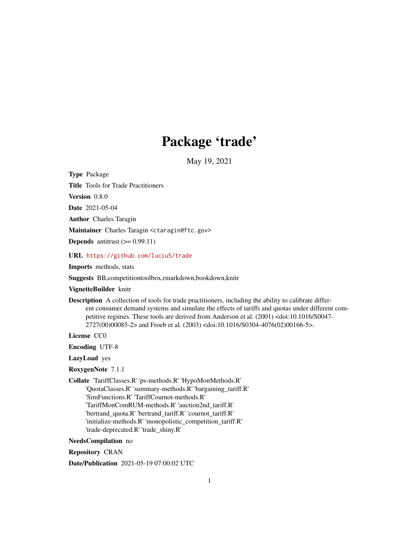# Package 'trade'

May 19, 2021

<span id="page-0-0"></span>Type Package

Title Tools for Trade Practitioners

Version 0.8.0

Date 2021-05-04

Author Charles Taragin

Maintainer Charles Taragin <ctaragin@ftc.gov>

**Depends** antitrust  $(>= 0.99.11)$ 

URL <https://github.com/luciu5/trade>

Imports methods, stats

Suggests BB,competitiontoolbox,rmarkdown,bookdown,knitr

VignetteBuilder knitr

Description A collection of tools for trade practitioners, including the ability to calibrate different consumer demand systems and simulate the effects of tariffs and quotas under different competitive regimes. These tools are derived from Anderson et al. (2001) <doi:10.1016/S0047- 2727(00)00085-2> and Froeb et al. (2003) <doi:10.1016/S0304-4076(02)00166-5>.

License CC0

Encoding UTF-8

LazyLoad yes

RoxygenNote 7.1.1

Collate 'TariffClasses.R' 'ps-methods.R' 'HypoMonMethods.R' 'QuotaClasses.R' 'summary-methods.R' 'bargaining\_tariff.R' 'SimFunctions.R' 'TariffCournot-methods.R' 'TariffMonComRUM-methods.R' 'auction2nd\_tariff.R' 'bertrand\_quota.R' 'bertrand\_tariff.R' 'cournot\_tariff.R' 'initialize-methods.R' 'monopolistic\_competition\_tariff.R' 'trade-deprecated.R' 'trade\_shiny.R'

NeedsCompilation no

Repository CRAN

Date/Publication 2021-05-19 07:00:02 UTC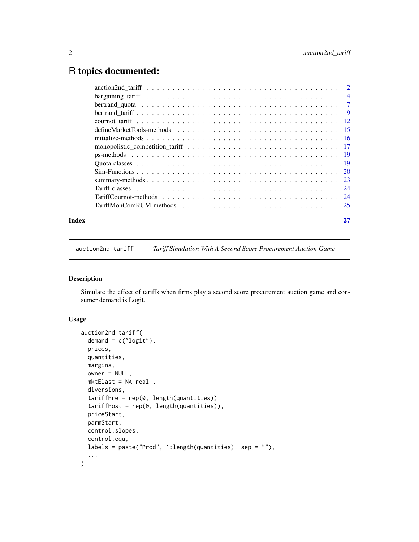# <span id="page-1-0"></span>R topics documented:

| Index |  |
|-------|--|
|       |  |
|       |  |
|       |  |
|       |  |
|       |  |
|       |  |
|       |  |
|       |  |
|       |  |
|       |  |
|       |  |
|       |  |
|       |  |
|       |  |
|       |  |

auction2nd\_tariff *Tariff Simulation With A Second Score Procurement Auction Game*

# Description

Simulate the effect of tariffs when firms play a second score procurement auction game and consumer demand is Logit.

#### Usage

```
auction2nd_tariff(
  demand = c("logit"),
 prices,
  quantities,
 margins,
 owner = NULL,mktElast = NA_real_,
 diversions,
  tariffPre = rep(0, length(quantities)),
  tariffPost = rep(0, length(quantities)),
 priceStart,
 parmStart,
 control.slopes,
  control.equ,
  labels = paste("Prod", 1:length(quantities), sep = ""),
  ...
\mathcal{L}
```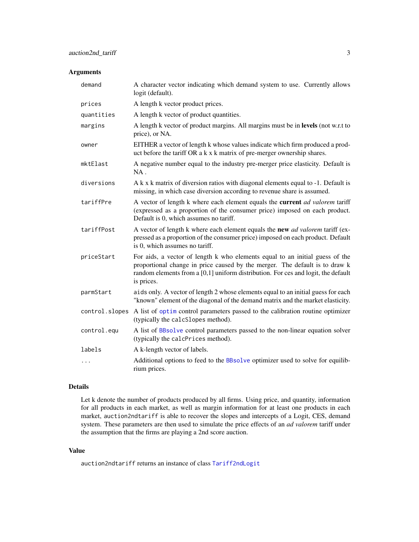#### <span id="page-2-0"></span>Arguments

| demand         | A character vector indicating which demand system to use. Currently allows<br>logit (default).                                                                                                                                                                 |
|----------------|----------------------------------------------------------------------------------------------------------------------------------------------------------------------------------------------------------------------------------------------------------------|
| prices         | A length k vector product prices.                                                                                                                                                                                                                              |
| quantities     | A length k vector of product quantities.                                                                                                                                                                                                                       |
| margins        | A length k vector of product margins. All margins must be in levels (not w.r.t to<br>price), or NA.                                                                                                                                                            |
| owner          | EITHER a vector of length k whose values indicate which firm produced a prod-<br>uct before the tariff OR a k x k matrix of pre-merger ownership shares.                                                                                                       |
| mktElast       | A negative number equal to the industry pre-merger price elasticity. Default is<br>$NA$ .                                                                                                                                                                      |
| diversions     | A k x k matrix of diversion ratios with diagonal elements equal to -1. Default is<br>missing, in which case diversion according to revenue share is assumed.                                                                                                   |
| tariffPre      | A vector of length k where each element equals the current ad valorem tariff<br>(expressed as a proportion of the consumer price) imposed on each product.<br>Default is 0, which assumes no tariff.                                                           |
| tariffPost     | A vector of length k where each element equals the new <i>ad valorem</i> tariff (ex-<br>pressed as a proportion of the consumer price) imposed on each product. Default<br>is 0, which assumes no tariff.                                                      |
| priceStart     | For aids, a vector of length k who elements equal to an initial guess of the<br>proportional change in price caused by the merger. The default is to draw k<br>random elements from a [0,1] uniform distribution. For ces and logit, the default<br>is prices. |
| parmStart      | aids only. A vector of length 2 whose elements equal to an initial guess for each<br>"known" element of the diagonal of the demand matrix and the market elasticity.                                                                                           |
| control.slopes | A list of optim control parameters passed to the calibration routine optimizer<br>(typically the calcSlopes method).                                                                                                                                           |
| control.equ    | A list of BBsolve control parameters passed to the non-linear equation solver<br>(typically the calcPrices method).                                                                                                                                            |
| labels         | A k-length vector of labels.                                                                                                                                                                                                                                   |
| $\cdots$       | Additional options to feed to the BBsolve optimizer used to solve for equilib-<br>rium prices.                                                                                                                                                                 |

#### Details

Let k denote the number of products produced by all firms. Using price, and quantity, information for all products in each market, as well as margin information for at least one products in each market, auction2ndtariff is able to recover the slopes and intercepts of a Logit, CES, demand system. These parameters are then used to simulate the price effects of an *ad valorem* tariff under the assumption that the firms are playing a 2nd score auction.

#### Value

auction2ndtariff returns an instance of class [Tariff2ndLogit](#page-23-1)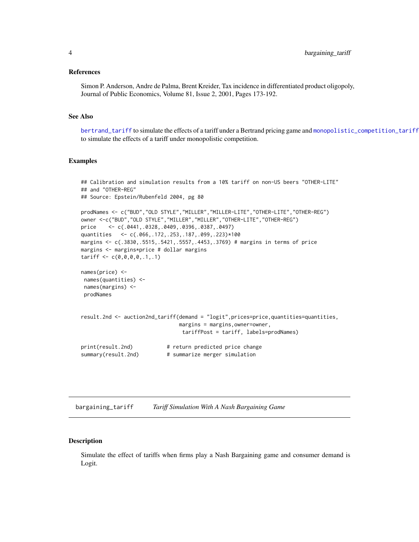#### <span id="page-3-0"></span>References

Simon P. Anderson, Andre de Palma, Brent Kreider, Tax incidence in differentiated product oligopoly, Journal of Public Economics, Volume 81, Issue 2, 2001, Pages 173-192.

#### See Also

[bertrand\\_tariff](#page-8-1) to simulate the effects of a tariff under a Bertrand pricing game and [monopolistic\\_competition\\_tariff](#page-16-1) to simulate the effects of a tariff under monopolistic competition.

#### Examples

```
## Calibration and simulation results from a 10% tariff on non-US beers "OTHER-LITE"
## and "OTHER-REG"
## Source: Epstein/Rubenfeld 2004, pg 80
prodNames <- c("BUD","OLD STYLE","MILLER","MILLER-LITE","OTHER-LITE","OTHER-REG")
owner <-c("BUD","OLD STYLE","MILLER","MILLER","OTHER-LITE","OTHER-REG")
price <- c(.0441,.0328,.0409,.0396,.0387,.0497)
quantities <- c(.066,.172,.253,.187,.099,.223)*100
margins <- c(.3830,.5515,.5421,.5557,.4453,.3769) # margins in terms of price
margins <- margins*price # dollar margins
tariff < c(0,0,0,0,1,.1)names(price) <-
names(quantities) <-
names(margins) <-
prodNames
result.2nd <- auction2nd_tariff(demand = "logit",prices=price,quantities=quantities,
                               margins = margins,owner=owner,
                                tariffPost = tariff, labels=prodNames)
print(result.2nd) # return predicted price change
summary(result.2nd) # summarize merger simulation
```
bargaining\_tariff *Tariff Simulation With A Nash Bargaining Game*

#### Description

Simulate the effect of tariffs when firms play a Nash Bargaining game and consumer demand is Logit.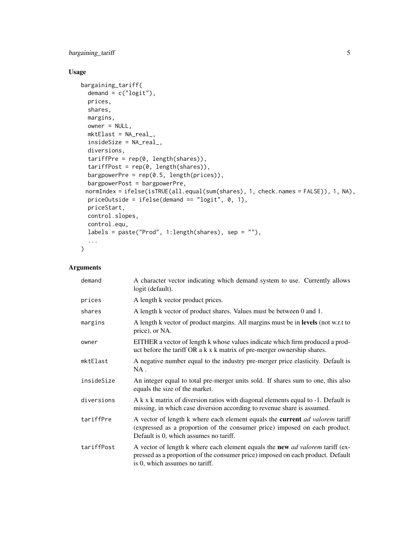# bargaining\_tariff 5

# Usage

```
bargaining_tariff(
 demand = c("logit"),
 prices,
 shares,
 margins,
 owner = NULL,
 mktElast = NA_real_,
 insideSize = NA_real_,
 diversions,
  tariffPre = rep(0, length(shares)),tariffPost = rep(0, length(shares)),
 bargpowerPre = rep(0.5, length(prices)),
 bargpowerPost = bargpowerPre,
 normIndex = ifelse(isTRUE(all.equal(sum(shares), 1, check.names = FALSE)), 1, NA),
 priceOutside = ifelse(demand == "logit", 0, 1),
 priceStart,
 control.slopes,
 control.equ,
 labels = paste("Prod", 1:length(shares), sep = ""),
  ...
)
```

| demand     | A character vector indicating which demand system to use. Currently allows<br>logit (default).                                                                                                            |
|------------|-----------------------------------------------------------------------------------------------------------------------------------------------------------------------------------------------------------|
| prices     | A length k vector product prices.                                                                                                                                                                         |
| shares     | A length k vector of product shares. Values must be between 0 and 1.                                                                                                                                      |
| margins    | A length k vector of product margins. All margins must be in levels (not w.r.t to<br>price), or NA.                                                                                                       |
| owner      | EITHER a vector of length k whose values indicate which firm produced a prod-<br>uct before the tariff OR a k x k matrix of pre-merger ownership shares.                                                  |
| mktElast   | A negative number equal to the industry pre-merger price elasticity. Default is<br>$NA$ .                                                                                                                 |
| insideSize | An integer equal to total pre-merger units sold. If shares sum to one, this also<br>equals the size of the market.                                                                                        |
| diversions | A k x k matrix of diversion ratios with diagonal elements equal to -1. Default is<br>missing, in which case diversion according to revenue share is assumed.                                              |
| tariffPre  | A vector of length k where each element equals the current ad valorem tariff<br>(expressed as a proportion of the consumer price) imposed on each product.<br>Default is 0, which assumes no tariff.      |
| tariffPost | A vector of length k where each element equals the new <i>ad valorem</i> tariff (ex-<br>pressed as a proportion of the consumer price) imposed on each product. Default<br>is 0, which assumes no tariff. |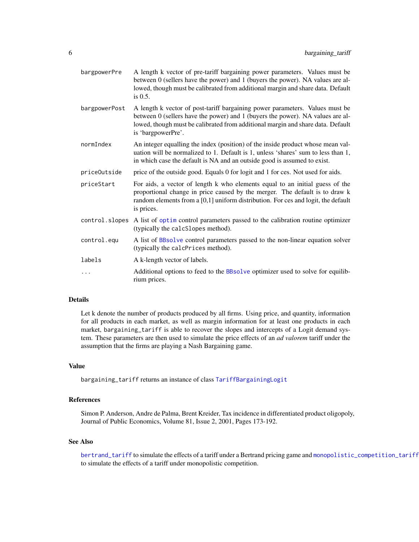<span id="page-5-0"></span>

| bargpowerPre   | A length k vector of pre-tariff bargaining power parameters. Values must be<br>between 0 (sellers have the power) and 1 (buyers the power). NA values are al-<br>lowed, though must be calibrated from additional margin and share data. Default<br>is $0.5$ .          |
|----------------|-------------------------------------------------------------------------------------------------------------------------------------------------------------------------------------------------------------------------------------------------------------------------|
| bargpowerPost  | A length k vector of post-tariff bargaining power parameters. Values must be<br>between 0 (sellers have the power) and 1 (buyers the power). NA values are al-<br>lowed, though must be calibrated from additional margin and share data. Default<br>is 'bargpowerPre'. |
| normIndex      | An integer equalling the index (position) of the inside product whose mean val-<br>uation will be normalized to 1. Default is 1, unless 'shares' sum to less than 1,<br>in which case the default is NA and an outside good is assumed to exist.                        |
| priceOutside   | price of the outside good. Equals 0 for logit and 1 for ces. Not used for aids.                                                                                                                                                                                         |
| priceStart     | For aids, a vector of length k who elements equal to an initial guess of the<br>proportional change in price caused by the merger. The default is to draw k<br>random elements from a [0,1] uniform distribution. For ces and logit, the default<br>is prices.          |
| control.slopes | A list of optim control parameters passed to the calibration routine optimizer<br>(typically the calcSlopes method).                                                                                                                                                    |
| control.equ    | A list of BBsolve control parameters passed to the non-linear equation solver<br>(typically the calcPrices method).                                                                                                                                                     |
| labels         | A k-length vector of labels.                                                                                                                                                                                                                                            |
| .              | Additional options to feed to the BBsolve optimizer used to solve for equilib-<br>rium prices.                                                                                                                                                                          |

Let k denote the number of products produced by all firms. Using price, and quantity, information for all products in each market, as well as margin information for at least one products in each market, bargaining\_tariff is able to recover the slopes and intercepts of a Logit demand system. These parameters are then used to simulate the price effects of an *ad valorem* tariff under the assumption that the firms are playing a Nash Bargaining game.

#### Value

bargaining\_tariff returns an instance of class [TariffBargainingLogit](#page-23-1)

#### References

Simon P. Anderson, Andre de Palma, Brent Kreider, Tax incidence in differentiated product oligopoly, Journal of Public Economics, Volume 81, Issue 2, 2001, Pages 173-192.

#### See Also

[bertrand\\_tariff](#page-8-1) to simulate the effects of a tariff under a Bertrand pricing game and [monopolistic\\_competition\\_tariff](#page-16-1) to simulate the effects of a tariff under monopolistic competition.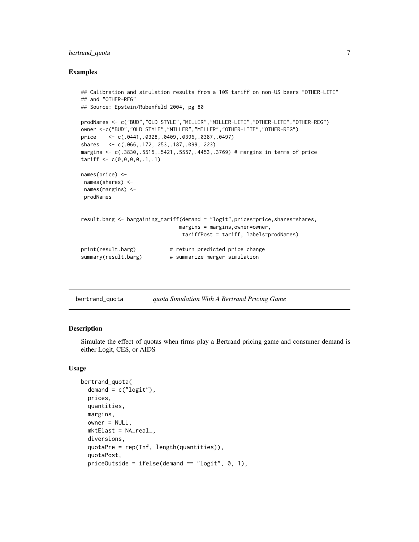### <span id="page-6-0"></span>bertrand\_quota 7

#### Examples

```
## Calibration and simulation results from a 10% tariff on non-US beers "OTHER-LITE"
## and "OTHER-REG"
## Source: Epstein/Rubenfeld 2004, pg 80
prodNames <- c("BUD","OLD STYLE","MILLER","MILLER-LITE","OTHER-LITE","OTHER-REG")
owner <-c("BUD","OLD STYLE","MILLER","MILLER","OTHER-LITE","OTHER-REG")
price <- c(.0441,.0328,.0409,.0396,.0387,.0497)
shares <- c(.066,.172,.253,.187,.099,.223)
margins <- c(.3830,.5515,.5421,.5557,.4453,.3769) # margins in terms of price
tariff < c(0,0,0,0,1,.1)names(price) <-
names(shares) <-
names(margins) <-
prodNames
result.barg <- bargaining_tariff(demand = "logit",prices=price,shares=shares,
                               margins = margins,owner=owner,
                                tariffPost = tariff, labels=prodNames)
print(result.barg) # return predicted price change
summary(result.barg) # summarize merger simulation
```

| bertrand_quota | quota Simulation With A Bertrand Pricing Game |  |  |
|----------------|-----------------------------------------------|--|--|
|----------------|-----------------------------------------------|--|--|

#### **Description**

Simulate the effect of quotas when firms play a Bertrand pricing game and consumer demand is either Logit, CES, or AIDS

#### Usage

```
bertrand_quota(
  demand = c("logit"),
  prices,
  quantities,
  margins,
  owner = NULL,
  mktElast = NA_real_,
  diversions,
  quotaPre = rep(Inf, length(quantities)),
  quotaPost,
  priceOutside = ifelse(demand == "logit", 0, 1),
```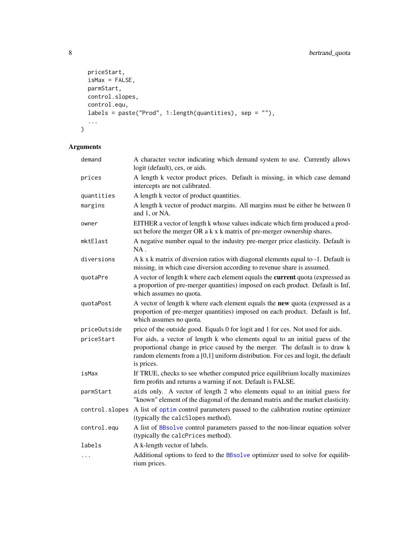```
priceStart,
  isMax = FALSE,parmStart,
  control.slopes,
  control.equ,
  labels = paste("Prod", 1:length(quantities), sep = ""),
  ...
\overline{)}
```

| demand         | A character vector indicating which demand system to use. Currently allows<br>logit (default), ces, or aids.                                                                                                                                                   |
|----------------|----------------------------------------------------------------------------------------------------------------------------------------------------------------------------------------------------------------------------------------------------------------|
| prices         | A length k vector product prices. Default is missing, in which case demand<br>intercepts are not calibrated.                                                                                                                                                   |
| quantities     | A length k vector of product quantities.                                                                                                                                                                                                                       |
| margins        | A length k vector of product margins. All margins must be either be between 0<br>and 1, or NA.                                                                                                                                                                 |
| owner          | EITHER a vector of length k whose values indicate which firm produced a prod-<br>uct before the merger OR a k x k matrix of pre-merger ownership shares.                                                                                                       |
| mktElast       | A negative number equal to the industry pre-merger price elasticity. Default is<br>NA.                                                                                                                                                                         |
| diversions     | A k x k matrix of diversion ratios with diagonal elements equal to -1. Default is<br>missing, in which case diversion according to revenue share is assumed.                                                                                                   |
| quotaPre       | A vector of length k where each element equals the current quota (expressed as<br>a proportion of pre-merger quantities) imposed on each product. Default is Inf,<br>which assumes no quota.                                                                   |
| quotaPost      | A vector of length k where each element equals the new quota (expressed as a<br>proportion of pre-merger quantities) imposed on each product. Default is Inf,<br>which assumes no quota.                                                                       |
| priceOutside   | price of the outside good. Equals 0 for logit and 1 for ces. Not used for aids.                                                                                                                                                                                |
| priceStart     | For aids, a vector of length k who elements equal to an initial guess of the<br>proportional change in price caused by the merger. The default is to draw k<br>random elements from a [0,1] uniform distribution. For ces and logit, the default<br>is prices. |
| isMax          | If TRUE, checks to see whether computed price equilibrium locally maximizes<br>firm profits and returns a warning if not. Default is FALSE.                                                                                                                    |
| parmStart      | aids only. A vector of length 2 who elements equal to an initial guess for<br>"known" element of the diagonal of the demand matrix and the market elasticity.                                                                                                  |
| control.slopes | A list of optim control parameters passed to the calibration routine optimizer<br>(typically the calcSlopes method).                                                                                                                                           |
| control.equ    | A list of BBsolve control parameters passed to the non-linear equation solver<br>(typically the calcPrices method).                                                                                                                                            |
| labels         | A k-length vector of labels.                                                                                                                                                                                                                                   |
| $\cdots$       | Additional options to feed to the BBsolve optimizer used to solve for equilib-<br>rium prices.                                                                                                                                                                 |

<span id="page-7-0"></span>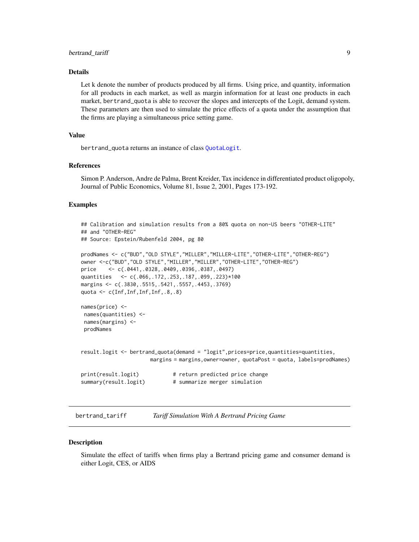<span id="page-8-0"></span>Let k denote the number of products produced by all firms. Using price, and quantity, information for all products in each market, as well as margin information for at least one products in each market, bertrand\_quota is able to recover the slopes and intercepts of the Logit, demand system. These parameters are then used to simulate the price effects of a quota under the assumption that the firms are playing a simultaneous price setting game.

#### Value

bertrand\_quota returns an instance of class [QuotaLogit](#page-18-1).

#### References

Simon P. Anderson, Andre de Palma, Brent Kreider, Tax incidence in differentiated product oligopoly, Journal of Public Economics, Volume 81, Issue 2, 2001, Pages 173-192.

#### Examples

```
## Calibration and simulation results from a 80% quota on non-US beers "OTHER-LITE"
## and "OTHER-REG"
## Source: Epstein/Rubenfeld 2004, pg 80
prodNames <- c("BUD","OLD STYLE","MILLER","MILLER-LITE","OTHER-LITE","OTHER-REG")
owner <-c("BUD","OLD STYLE","MILLER","MILLER","OTHER-LITE","OTHER-REG")
price <- c(.0441,.0328,.0409,.0396,.0387,.0497)
quantities <- c(.066,.172,.253,.187,.099,.223)*100
margins <- c(.3830,.5515,.5421,.5557,.4453,.3769)
quota <- c(Inf,Inf,Inf,Inf,.8,.8)
names(price) <-
names(quantities) <-
names(margins) <-
prodNames
result.logit <- bertrand_quota(demand = "logit",prices=price,quantities=quantities,
                      margins = margins,owner=owner, quotaPost = quota, labels=prodNames)
print(result.logit) # return predicted price change
summary(result.logit) # summarize merger simulation
```
<span id="page-8-1"></span>bertrand\_tariff *Tariff Simulation With A Bertrand Pricing Game*

#### **Description**

Simulate the effect of tariffs when firms play a Bertrand pricing game and consumer demand is either Logit, CES, or AIDS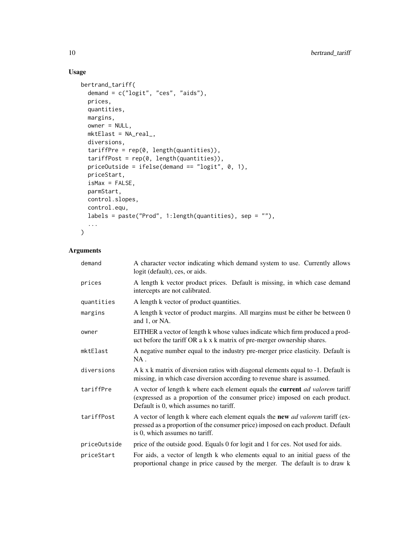# Usage

```
bertrand_tariff(
 demand = c("logit", "ces", "aids"),
 prices,
 quantities,
 margins,
 owner = NULL,
 mktElast = NA_real_,
 diversions,
 tariffPre = rep(0, length(quantities)),
  tariffPost = rep(0, length(quantities)),
 priceOutside = ifelse(demand == "logit", 0, 1),
 priceStart,
 isMax = FALSE,
 parmStart,
 control.slopes,
 control.equ,
 labels = paste("Prod", 1:length(quantities), sep = ""),
  ...
```

```
\mathcal{L}
```

| demand       | A character vector indicating which demand system to use. Currently allows<br>logit (default), ces, or aids.                                                                                                |
|--------------|-------------------------------------------------------------------------------------------------------------------------------------------------------------------------------------------------------------|
| prices       | A length k vector product prices. Default is missing, in which case demand<br>intercepts are not calibrated.                                                                                                |
| quantities   | A length k vector of product quantities.                                                                                                                                                                    |
| margins      | A length k vector of product margins. All margins must be either be between 0<br>and 1, or NA.                                                                                                              |
| owner        | EITHER a vector of length k whose values indicate which firm produced a prod-<br>uct before the tariff OR a k x k matrix of pre-merger ownership shares.                                                    |
| mktElast     | A negative number equal to the industry pre-merger price elasticity. Default is<br>$NA$ .                                                                                                                   |
| diversions   | A k x k matrix of diversion ratios with diagonal elements equal to -1. Default is<br>missing, in which case diversion according to revenue share is assumed.                                                |
| tariffPre    | A vector of length k where each element equals the current <i>ad valorem</i> tariff<br>(expressed as a proportion of the consumer price) imposed on each product.<br>Default is 0, which assumes no tariff. |
| tariffPost   | A vector of length k where each element equals the new <i>ad valorem</i> tariff (ex-<br>pressed as a proportion of the consumer price) imposed on each product. Default<br>is 0, which assumes no tariff.   |
| priceOutside | price of the outside good. Equals 0 for logit and 1 for ces. Not used for aids.                                                                                                                             |
| priceStart   | For aids, a vector of length k who elements equal to an initial guess of the<br>proportional change in price caused by the merger. The default is to draw k                                                 |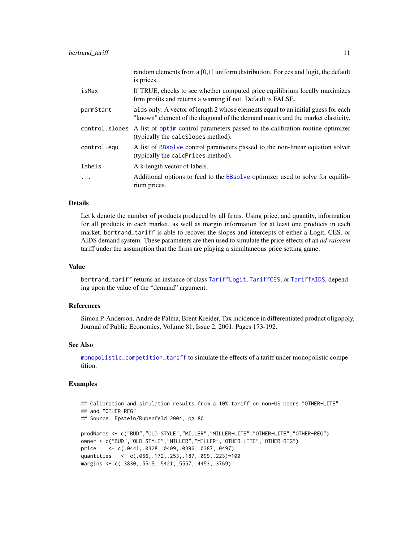<span id="page-10-0"></span>

|                | random elements from a $[0,1]$ uniform distribution. For ces and logit, the default<br>is prices.                                                                    |
|----------------|----------------------------------------------------------------------------------------------------------------------------------------------------------------------|
| isMax          | If TRUE, checks to see whether computed price equilibrium locally maximizes<br>firm profits and returns a warning if not. Default is FALSE.                          |
| parmStart      | aids only. A vector of length 2 whose elements equal to an initial guess for each<br>"known" element of the diagonal of the demand matrix and the market elasticity. |
| control.slopes | A list of optim control parameters passed to the calibration routine optimizer<br>(typically the calcSlopes method).                                                 |
| control.equ    | A list of BBsolve control parameters passed to the non-linear equation solver<br>(typically the calcPrices method).                                                  |
| labels         | A k-length vector of labels.                                                                                                                                         |
| $\cdots$       | Additional options to feed to the BBsolve optimizer used to solve for equilib-<br>rium prices.                                                                       |

Let k denote the number of products produced by all firms. Using price, and quantity, information for all products in each market, as well as margin information for at least one products in each market, bertrand\_tariff is able to recover the slopes and intercepts of either a Logit, CES, or AIDS demand system. These parameters are then used to simulate the price effects of an *ad valorem* tariff under the assumption that the firms are playing a simultaneous price setting game.

#### Value

bertrand\_tariff returns an instance of class [TariffLogit](#page-23-1), [TariffCES](#page-23-1), or [TariffAIDS](#page-23-1), depending upon the value of the "demand" argument.

#### References

Simon P. Anderson, Andre de Palma, Brent Kreider, Tax incidence in differentiated product oligopoly, Journal of Public Economics, Volume 81, Issue 2, 2001, Pages 173-192.

#### See Also

[monopolistic\\_competition\\_tariff](#page-16-1) to simulate the effects of a tariff under monopolistic competition.

#### Examples

```
## Calibration and simulation results from a 10% tariff on non-US beers "OTHER-LITE"
## and "OTHER-REG"
## Source: Epstein/Rubenfeld 2004, pg 80
prodNames <- c("BUD","OLD STYLE","MILLER","MILLER-LITE","OTHER-LITE","OTHER-REG")
owner <-c("BUD","OLD STYLE","MILLER","MILLER","OTHER-LITE","OTHER-REG")
price <- c(.0441,.0328,.0409,.0396,.0387,.0497)
quantities <- c(.066,.172,.253,.187,.099,.223)*100
margins <- c(.3830,.5515,.5421,.5557,.4453,.3769)
```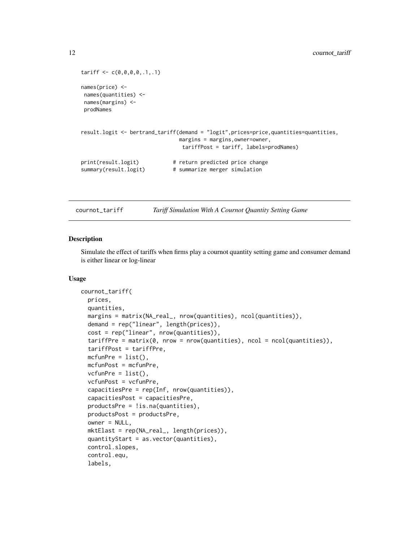```
tariff < -c(0,0,0,0,1,1)names(price) <-
names(quantities) <-
names(margins) <-
prodNames
result.logit <- bertrand_tariff(demand = "logit",prices=price,quantities=quantities,
                              margins = margins,owner=owner,
                               tariffPost = tariff, labels=prodNames)
print(result.logit) # return predicted price change
summary(result.logit) # summarize merger simulation
```
cournot\_tariff *Tariff Simulation With A Cournot Quantity Setting Game*

#### Description

Simulate the effect of tariffs when firms play a cournot quantity setting game and consumer demand is either linear or log-linear

#### Usage

```
cournot_tariff(
  prices,
 quantities,
 margins = matrix(NA_real_, nrow(quantities), ncol(quantities)),
  demand = rep("linear", length(prices)),
  cost = rep("linear", nrow(quantities)),
  tariffPre = matrix(0, nrow = nrow(quantities), ncol = ncol(quantities)),tariffPost = tariffPre,
 mcfunPre = list(),
 mcfunPost = mcfunPre,
  vcfunPre = list(),
  vcfunPost = vcfunPre,
  capacitiesPre = rep(Inf, nrow(quantities)),
  capacitiesPost = capacitiesPre,
  productsPre = !is.na(quantities),
 productsPost = productsPre,
  owner = NULL,
 mktElast = rep(NA_real_, length(prices)),
  quantityStart = as.vector(quantities),
  control.slopes,
  control.equ,
  labels,
```
<span id="page-11-0"></span>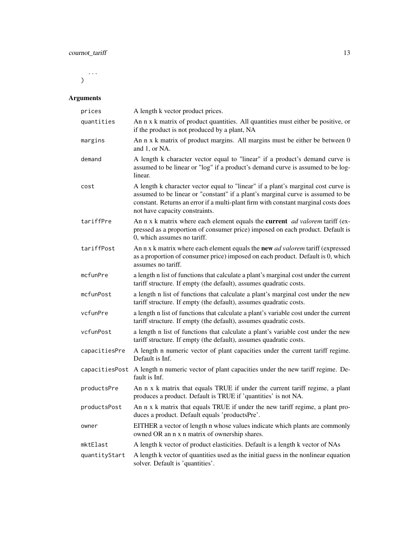... )

| prices         | A length k vector product prices.                                                                                                                                                                                                                                                            |
|----------------|----------------------------------------------------------------------------------------------------------------------------------------------------------------------------------------------------------------------------------------------------------------------------------------------|
| quantities     | An n x k matrix of product quantities. All quantities must either be positive, or<br>if the product is not produced by a plant, NA                                                                                                                                                           |
| margins        | An n x k matrix of product margins. All margins must be either be between 0<br>and 1, or NA.                                                                                                                                                                                                 |
| demand         | A length k character vector equal to "linear" if a product's demand curve is<br>assumed to be linear or "log" if a product's demand curve is assumed to be log-<br>linear.                                                                                                                   |
| cost           | A length k character vector equal to "linear" if a plant's marginal cost curve is<br>assumed to be linear or "constant" if a plant's marginal curve is assumed to be<br>constant. Returns an error if a multi-plant firm with constant marginal costs does<br>not have capacity constraints. |
| tariffPre      | An n x k matrix where each element equals the current <i>ad valorem</i> tariff (ex-<br>pressed as a proportion of consumer price) imposed on each product. Default is<br>0, which assumes no tariff.                                                                                         |
| tariffPost     | An n x k matrix where each element equals the new <i>ad valorem</i> tariff (expressed<br>as a proportion of consumer price) imposed on each product. Default is 0, which<br>assumes no tariff.                                                                                               |
| mcfunPre       | a length n list of functions that calculate a plant's marginal cost under the current<br>tariff structure. If empty (the default), assumes quadratic costs.                                                                                                                                  |
| mcfunPost      | a length n list of functions that calculate a plant's marginal cost under the new<br>tariff structure. If empty (the default), assumes quadratic costs.                                                                                                                                      |
| vcfunPre       | a length n list of functions that calculate a plant's variable cost under the current<br>tariff structure. If empty (the default), assumes quadratic costs.                                                                                                                                  |
| vcfunPost      | a length n list of functions that calculate a plant's variable cost under the new<br>tariff structure. If empty (the default), assumes quadratic costs.                                                                                                                                      |
| capacitiesPre  | A length n numeric vector of plant capacities under the current tariff regime.<br>Default is Inf.                                                                                                                                                                                            |
| capacitiesPost | A length n numeric vector of plant capacities under the new tariff regime. De-<br>fault is Inf.                                                                                                                                                                                              |
| productsPre    | An n x k matrix that equals TRUE if under the current tariff regime, a plant<br>produces a product. Default is TRUE if 'quantities' is not NA.                                                                                                                                               |
| productsPost   | An n x k matrix that equals TRUE if under the new tariff regime, a plant pro-<br>duces a product. Default equals 'productsPre'.                                                                                                                                                              |
| owner          | EITHER a vector of length n whose values indicate which plants are commonly<br>owned OR an n x n matrix of ownership shares.                                                                                                                                                                 |
| mktElast       | A length k vector of product elasticities. Default is a length k vector of NAs                                                                                                                                                                                                               |
| quantityStart  | A length k vector of quantities used as the initial guess in the nonlinear equation<br>solver. Default is 'quantities'.                                                                                                                                                                      |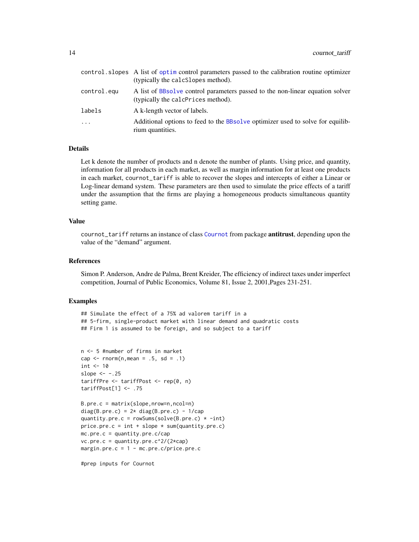<span id="page-13-0"></span>

|             | control. slopes A list of optim control parameters passed to the calibration routine optimizer<br>(typically the calcSlopes method). |
|-------------|--------------------------------------------------------------------------------------------------------------------------------------|
| control.equ | A list of BBsolve control parameters passed to the non-linear equation solver<br>(typically the calcPrices method).                  |
| labels      | A k-length vector of labels.                                                                                                         |
| $\ddots$    | Additional options to feed to the BBsolve optimizer used to solve for equilib-<br>rium quantities.                                   |

Let k denote the number of products and n denote the number of plants. Using price, and quantity, information for all products in each market, as well as margin information for at least one products in each market, cournot\_tariff is able to recover the slopes and intercepts of either a Linear or Log-linear demand system. These parameters are then used to simulate the price effects of a tariff under the assumption that the firms are playing a homogeneous products simultaneous quantity setting game.

#### Value

cournot\_tariff returns an instance of class [Cournot](#page-0-0) from package **antitrust**, depending upon the value of the "demand" argument.

#### References

Simon P. Anderson, Andre de Palma, Brent Kreider, The efficiency of indirect taxes under imperfect competition, Journal of Public Economics, Volume 81, Issue 2, 2001,Pages 231-251.

#### Examples

```
## Simulate the effect of a 75% ad valorem tariff in a
## 5-firm, single-product market with linear demand and quadratic costs
## Firm 1 is assumed to be foreign, and so subject to a tariff
```

```
n <- 5 #number of firms in market
cap \le - rnorm(n, mean = .5, sd = .1)
int < -10slope <--.25tariffPre <- tariffPost <- rep(0, n)
tariffPost[1] <- .75
```

```
B.pre.c = matrix(slope,nrow=n,ncol=n)
diag(B.pre.c) = 2* diag(B.pre.c) - 1/cap
quantity.pre.c = rowSums(solve(B.pre.c) * -int)
price.pre.c = int + slope * sum(quantity.pre.c)
mc.pre.c = quantity.pre.c/cap
vc.pre.c = quantity.pre.c^2/(2*cap)margin.pre.c = 1 - mc.pre.c/price.pre.c
```
#prep inputs for Cournot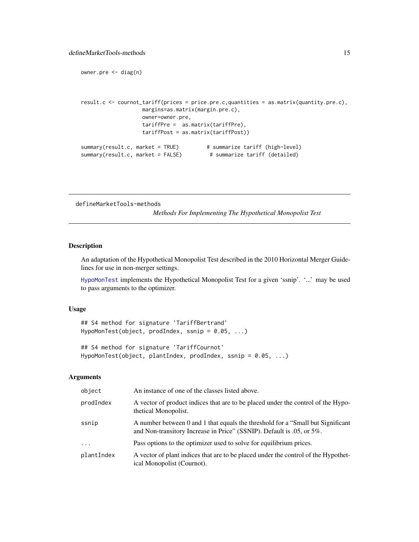```
owner.pre <- diag(n)
```

```
result.c <- cournot_tariff(prices = price.pre.c,quantities = as.matrix(quantity.pre.c),
                  margins=as.matrix(margin.pre.c),
                  owner=owner.pre,
                   tariffPre = as.matrix(tariffPre),
                   tariffPost = as.matrix(tariffPost))
summary(result.c, market = TRUE) # summarize tariff (high-level)
summary(result.c, market = FALSE) # summarize tariff (detailed)
```
defineMarketTools-methods

*Methods For Implementing The Hypothetical Monopolist Test*

#### <span id="page-14-1"></span>Description

An adaptation of the Hypothetical Monopolist Test described in the 2010 Horizontal Merger Guidelines for use in non-merger settings.

[HypoMonTest](#page-14-1) implements the Hypothetical Monopolist Test for a given 'ssnip'. '...' may be used to pass arguments to the optimizer.

#### Usage

## S4 method for signature 'TariffBertrand' HypoMonTest(object, prodIndex, ssnip = 0.05, ...)

```
## S4 method for signature 'TariffCournot'
HypoMonTest(object, plantIndex, prodIndex, ssnip = 0.05, ...)
```

| object     | An instance of one of the classes listed above.                                                                                                           |
|------------|-----------------------------------------------------------------------------------------------------------------------------------------------------------|
| prodIndex  | A vector of product indices that are to be placed under the control of the Hypo-<br>thetical Monopolist.                                                  |
| ssnip      | A number between 0 and 1 that equals the threshold for a "Small but Significant"<br>and Non-transitory Increase in Price" (SSNIP). Default is .05, or 5%. |
| $\ddots$ . | Pass options to the optimizer used to solve for equilibrium prices.                                                                                       |
| plantIndex | A vector of plant indices that are to be placed under the control of the Hypothet-<br>ical Monopolist (Cournot).                                          |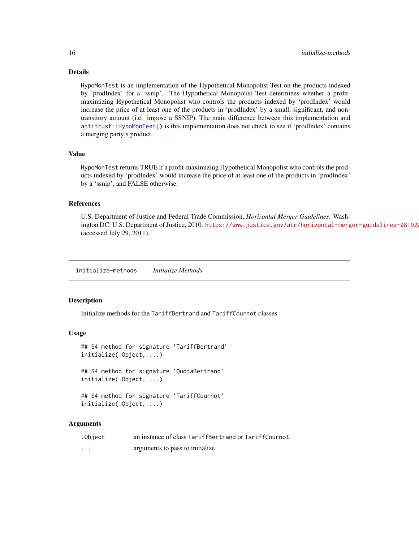<span id="page-15-0"></span>HypoMonTest is an implementation of the Hypothetical Monopolist Test on the products indexed by 'prodIndex' for a 'ssnip'. The Hypothetical Monopolist Test determines whether a profitmaximizing Hypothetical Monopolist who controls the products indexed by 'prodIndex' would increase the price of at least one of the products in 'prodIndex' by a small, significant, and nontransitory amount (i.e. impose a SSNIP). The main difference between this implementation and [antitrust::HypoMonTest\(\)](#page-0-0) is this implementation does not check to see if 'prodIndex' contains a merging party's product.

#### Value

HypoMonTest returns TRUE if a profit-maximizing Hypothetical Monopolist who controls the products indexed by 'prodIndex' would increase the price of at least one of the products in 'prodIndex' by a 'ssnip', and FALSE otherwise.

#### References

U.S. Department of Justice and Federal Trade Commission, *Horizontal Merger Guidelines*. Washington DC: U.S. Department of Justice, 2010. https://www.justice.gov/atr/horizontal-merger-guidelines-081920 (accessed July 29, 2011).

initialize-methods *Initialize Methods*

#### Description

Initialize methods for the TariffBertrand and TariffCournot classes

#### Usage

```
## S4 method for signature 'TariffBertrand'
initialize(.Object, ...)
## S4 method for signature 'QuotaBertrand'
initialize(.Object, ...)
## S4 method for signature 'TariffCournot'
initialize(.Object, ...)
```

| .Object  | an instance of class TariffBertrand or TariffCournot |
|----------|------------------------------------------------------|
| $\cdots$ | arguments to pass to initialize                      |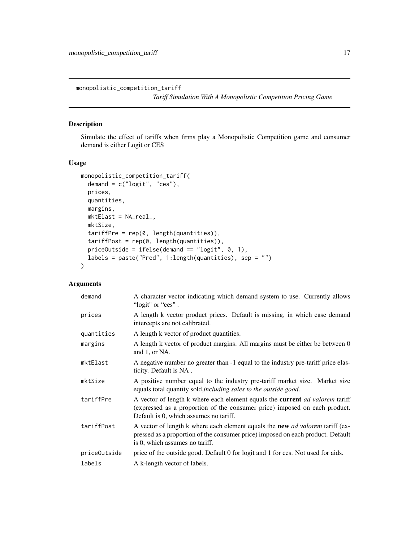<span id="page-16-1"></span><span id="page-16-0"></span>monopolistic\_competition\_tariff

*Tariff Simulation With A Monopolistic Competition Pricing Game*

# Description

Simulate the effect of tariffs when firms play a Monopolistic Competition game and consumer demand is either Logit or CES

#### Usage

```
monopolistic_competition_tariff(
  demand = c("logit", "ces"),
 prices,
 quantities,
 margins,
 mktElast = NA_real_,
 mktSize,
 tariffPre = rep(0, length(quantities)),
  tariffPost = rep(0, length(quantities)),priceOutside = ifelse(demand == "logit", 0, 1),
 labels = paste("Prod", 1:length(quantities), sep = "")
)
```

| demand       | A character vector indicating which demand system to use. Currently allows<br>"logit" or "ces".                                                                                                           |
|--------------|-----------------------------------------------------------------------------------------------------------------------------------------------------------------------------------------------------------|
| prices       | A length k vector product prices. Default is missing, in which case demand<br>intercepts are not calibrated.                                                                                              |
| quantities   | A length k vector of product quantities.                                                                                                                                                                  |
| margins      | A length k vector of product margins. All margins must be either be between 0<br>and 1, or NA.                                                                                                            |
| mktElast     | A negative number no greater than -1 equal to the industry pre-tariff price elas-<br>ticity. Default is NA.                                                                                               |
| mktSize      | A positive number equal to the industry pre-tariff market size. Market size<br>equals total quantity sold, including sales to the outside good.                                                           |
| tariffPre    | A vector of length k where each element equals the current ad valorem tariff<br>(expressed as a proportion of the consumer price) imposed on each product.<br>Default is 0, which assumes no tariff.      |
| tariffPost   | A vector of length k where each element equals the <b>new</b> ad valorem tariff (ex-<br>pressed as a proportion of the consumer price) imposed on each product. Default<br>is 0, which assumes no tariff. |
| priceOutside | price of the outside good. Default 0 for logit and 1 for ces. Not used for aids.                                                                                                                          |
| labels       | A k-length vector of labels.                                                                                                                                                                              |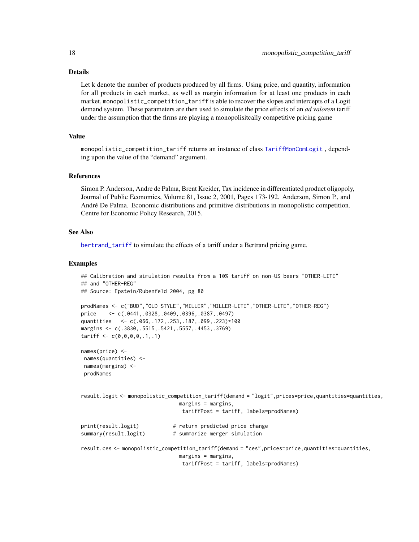<span id="page-17-0"></span>Let k denote the number of products produced by all firms. Using price, and quantity, information for all products in each market, as well as margin information for at least one products in each market, monopolistic\_competition\_tariff is able to recover the slopes and intercepts of a Logit demand system. These parameters are then used to simulate the price effects of an *ad valorem* tariff under the assumption that the firms are playing a monopolisitcally competitive pricing game

### Value

monopolistic\_competition\_tariff returns an instance of class [TariffMonComLogit](#page-23-1) , depending upon the value of the "demand" argument.

#### References

Simon P. Anderson, Andre de Palma, Brent Kreider, Tax incidence in differentiated product oligopoly, Journal of Public Economics, Volume 81, Issue 2, 2001, Pages 173-192. Anderson, Simon P., and André De Palma. Economic distributions and primitive distributions in monopolistic competition. Centre for Economic Policy Research, 2015.

#### See Also

[bertrand\\_tariff](#page-8-1) to simulate the effects of a tariff under a Bertrand pricing game.

#### Examples

```
## Calibration and simulation results from a 10% tariff on non-US beers "OTHER-LITE"
## and "OTHER-REG"
## Source: Epstein/Rubenfeld 2004, pg 80
prodNames <- c("BUD","OLD STYLE","MILLER","MILLER-LITE","OTHER-LITE","OTHER-REG")
price <- c(.0441,.0328,.0409,.0396,.0387,.0497)
quantities <- c(.066,.172,.253,.187,.099,.223)*100
margins <- c(.3830,.5515,.5421,.5557,.4453,.3769)
tariff \leftarrow c(0,0,0,0,1,1)names(price) <-
names(quantities) <-
names(margins) <-
prodNames
result.logit <- monopolistic_competition_tariff(demand = "logit",prices=price,quantities=quantities,
                               margins = margins,
                                tariffPost = tariff, labels=prodNames)
print(result.logit) # return predicted price change
summary(result.logit) # summarize merger simulation
result.ces <- monopolistic_competition_tariff(demand = "ces",prices=price,quantities=quantities,
                               margins = margins,
                                tariffPost = tariff, labels=prodNames)
```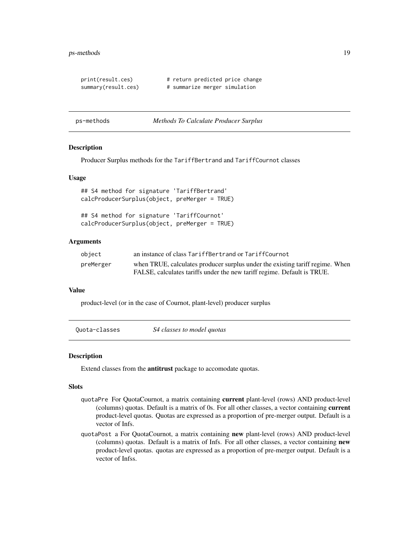#### <span id="page-18-0"></span>ps-methods 19

```
print(result.ces) # return predicted price change
summary(result.ces) # summarize merger simulation
```
#### ps-methods *Methods To Calculate Producer Surplus*

#### Description

Producer Surplus methods for the TariffBertrand and TariffCournot classes

#### Usage

```
## S4 method for signature 'TariffBertrand'
calcProducerSurplus(object, preMerger = TRUE)
```

```
## S4 method for signature 'TariffCournot'
calcProducerSurplus(object, preMerger = TRUE)
```
#### Arguments

| object    | an instance of class TariffBertrand or TariffCournot                          |
|-----------|-------------------------------------------------------------------------------|
| preMerger | when TRUE, calculates producer surplus under the existing tariff regime. When |
|           | FALSE, calculates tariffs under the new tariff regime. Default is TRUE.       |

#### Value

product-level (or in the case of Cournot, plant-level) producer surplus

| Quota-classes | S4 classes to model quotas |  |
|---------------|----------------------------|--|
|---------------|----------------------------|--|

#### <span id="page-18-1"></span>Description

Extend classes from the antitrust package to accomodate quotas.

#### Slots

- quotaPre For QuotaCournot, a matrix containing current plant-level (rows) AND product-level (columns) quotas. Default is a matrix of 0s. For all other classes, a vector containing current product-level quotas. Quotas are expressed as a proportion of pre-merger output. Default is a vector of Infs.
- quotaPost a For QuotaCournot, a matrix containing new plant-level (rows) AND product-level (columns) quotas. Default is a matrix of Infs. For all other classes, a vector containing new product-level quotas. quotas are expressed as a proportion of pre-merger output. Default is a vector of Infss.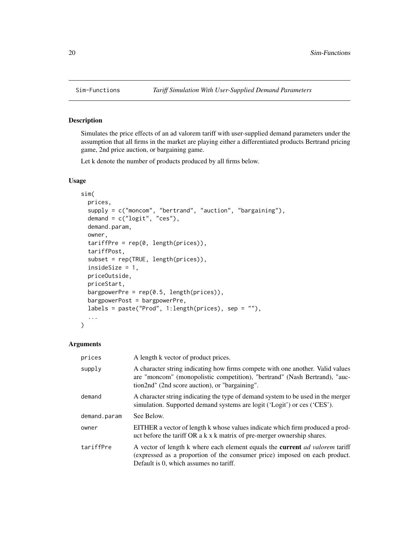<span id="page-19-0"></span>

#### Description

Simulates the price effects of an ad valorem tariff with user-supplied demand parameters under the assumption that all firms in the market are playing either a differentiated products Bertrand pricing game, 2nd price auction, or bargaining game.

Let k denote the number of products produced by all firms below.

#### Usage

```
sim(
  prices,
  supply = c("moncom", "bertrand", "auction", "bargaining"),
  demand = c("logit", "ces"),
  demand.param,
  owner,
  tariffPre = rep(0, length(prices)),
  tariffPost,
  subset = rep(TRUE, length(prices)),
  insideSize = 1,
  priceOutside,
 priceStart,
  bargpowerPre = rep(0.5, length(prices)),bargpowerPost = bargpowerPre,
  labels = paste("Prod", 1:length(prices), sep = ""),
  ...
)
```

| prices       | A length k vector of product prices.                                                                                                                                                                               |
|--------------|--------------------------------------------------------------------------------------------------------------------------------------------------------------------------------------------------------------------|
| supply       | A character string indicating how firms compete with one another. Valid values<br>are "moncom" (monopolistic competition), "bertrand" (Nash Bertrand), "auc-<br>tion2nd" (2nd score auction), or "bargaining".     |
| demand       | A character string indicating the type of demand system to be used in the merger<br>simulation. Supported demand systems are logit ('Logit') or ces ('CES').                                                       |
| demand.param | See Below.                                                                                                                                                                                                         |
| owner        | EITHER a vector of length k whose values indicate which firm produced a prod-<br>uct before the tariff OR a k x k matrix of pre-merger ownership shares.                                                           |
| tariffPre    | A vector of length k where each element equals the <b>current</b> <i>ad valorem</i> tariff<br>(expressed as a proportion of the consumer price) imposed on each product.<br>Default is 0, which assumes no tariff. |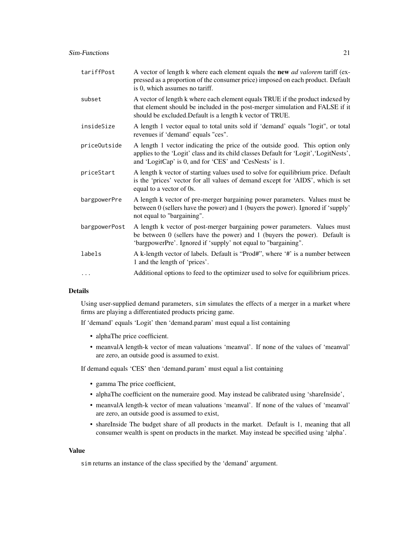| tariffPost    | A vector of length k where each element equals the new <i>ad valorem</i> tariff (ex-<br>pressed as a proportion of the consumer price) imposed on each product. Default<br>is 0, which assumes no tariff.                        |
|---------------|----------------------------------------------------------------------------------------------------------------------------------------------------------------------------------------------------------------------------------|
| subset        | A vector of length k where each element equals TRUE if the product indexed by<br>that element should be included in the post-merger simulation and FALSE if it<br>should be excluded. Default is a length k vector of TRUE.      |
| insideSize    | A length 1 vector equal to total units sold if 'demand' equals "logit", or total<br>revenues if 'demand' equals "ces".                                                                                                           |
| priceOutside  | A length 1 vector indicating the price of the outside good. This option only<br>applies to the 'Logit' class and its child classes Default for 'Logit', 'LogitNests',<br>and 'LogitCap' is 0, and for 'CES' and 'CesNests' is 1. |
| priceStart    | A length k vector of starting values used to solve for equilibrium price. Default<br>is the 'prices' vector for all values of demand except for 'AIDS', which is set<br>equal to a vector of 0s.                                 |
| bargpowerPre  | A length k vector of pre-merger bargaining power parameters. Values must be<br>between 0 (sellers have the power) and 1 (buyers the power). Ignored if 'supply'<br>not equal to "bargaining".                                    |
| bargpowerPost | A length k vector of post-merger bargaining power parameters. Values must<br>be between 0 (sellers have the power) and 1 (buyers the power). Default is<br>'bargpowerPre'. Ignored if 'supply' not equal to "bargaining".        |
| labels        | A k-length vector of labels. Default is "Prod#", where '#' is a number between<br>1 and the length of 'prices'.                                                                                                                  |
| $\cdots$      | Additional options to feed to the optimizer used to solve for equilibrium prices.                                                                                                                                                |

Using user-supplied demand parameters, sim simulates the effects of a merger in a market where firms are playing a differentiated products pricing game.

If 'demand' equals 'Logit' then 'demand.param' must equal a list containing

- alphaThe price coefficient.
- meanvalA length-k vector of mean valuations 'meanval'. If none of the values of 'meanval' are zero, an outside good is assumed to exist.

If demand equals 'CES' then 'demand.param' must equal a list containing

- gamma The price coefficient,
- alphaThe coefficient on the numeraire good. May instead be calibrated using 'shareInside',
- meanvalA length-k vector of mean valuations 'meanval'. If none of the values of 'meanval' are zero, an outside good is assumed to exist,
- shareInside The budget share of all products in the market. Default is 1, meaning that all consumer wealth is spent on products in the market. May instead be specified using 'alpha'.

#### Value

sim returns an instance of the class specified by the 'demand' argument.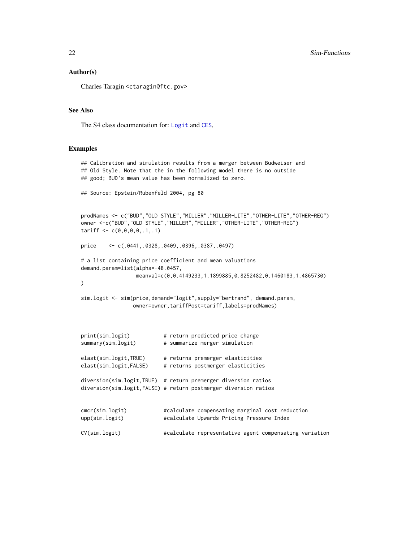#### <span id="page-21-0"></span>Author(s)

Charles Taragin <ctaragin@ftc.gov>

#### See Also

The S4 class documentation for: [Logit](#page-0-0) and [CES](#page-0-0),

#### Examples

```
## Calibration and simulation results from a merger between Budweiser and
## Old Style. Note that the in the following model there is no outside
## good; BUD's mean value has been normalized to zero.
## Source: Epstein/Rubenfeld 2004, pg 80
prodNames <- c("BUD","OLD STYLE","MILLER","MILLER-LITE","OTHER-LITE","OTHER-REG")
owner <-c("BUD","OLD STYLE","MILLER","MILLER","OTHER-LITE","OTHER-REG")
tariff < -c(0,0,0,0,1,1)price <- c(.0441,.0328,.0409,.0396,.0387,.0497)
# a list containing price coefficient and mean valuations
demand.param=list(alpha=-48.0457,
                 meanval=c(0,0.4149233,1.1899885,0.8252482,0.1460183,1.4865730)
\lambdasim.logit <- sim(price,demand="logit",supply="bertrand", demand.param,
                owner=owner,tariffPost=tariff,labels=prodNames)
print(sim.logit) # return predicted price change
summary(sim.logit) # summarize merger simulation
elast(sim.logit,TRUE) # returns premerger elasticities
elast(sim.logit,FALSE) # returns postmerger elasticities
diversion(sim.logit,TRUE) # return premerger diversion ratios
diversion(sim.logit,FALSE) # return postmerger diversion ratios
cmcr(sim.logit) #calculate compensating marginal cost reduction
upp(sim.logit) #calculate Upwards Pricing Pressure Index
CV(sim.logit) #calculate representative agent compensating variation
```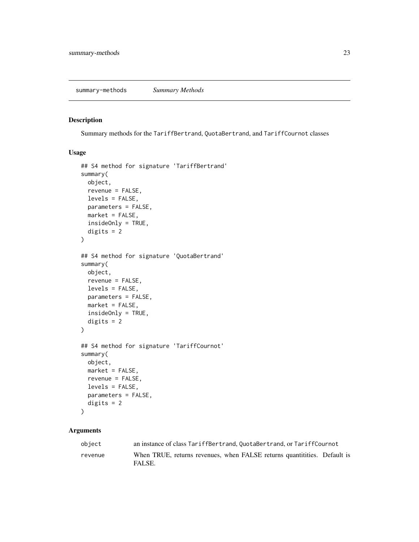#### <span id="page-22-0"></span>Description

Summary methods for the TariffBertrand, QuotaBertrand, and TariffCournot classes

#### Usage

```
## S4 method for signature 'TariffBertrand'
summary(
 object,
  revenue = FALSE,
  levels = FALSE,
 parameters = FALSE,
 market = FALSE,insideOnly = TRUE,
  digits = 2\mathcal{L}## S4 method for signature 'QuotaBertrand'
summary(
 object,
  revenue = FALSE,
  levels = FALSE,
 parameters = FALSE,
 market = FALSE,insideOnly = TRUE,
  digits = 2)
## S4 method for signature 'TariffCournot'
summary(
 object,
 market = FALSE,revenue = FALSE,
  levels = FALSE,
 parameters = FALSE,
  digits = 2)
```

| object  | an instance of class TariffBertrand, OuotaBertrand, or TariffCournot               |
|---------|------------------------------------------------------------------------------------|
| revenue | When TRUE, returns revenues, when FALSE returns quantitities. Default is<br>FALSE. |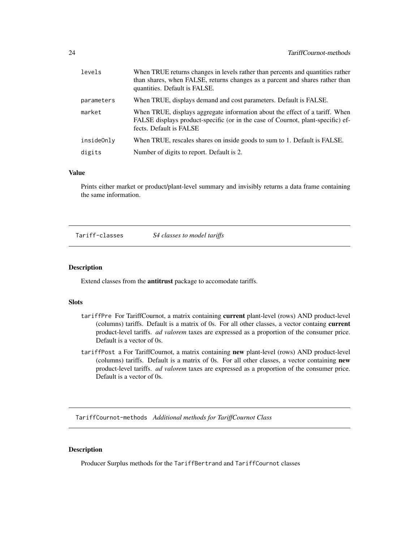<span id="page-23-0"></span>

| levels     | When TRUE returns changes in levels rather than percents and quantities rather<br>than shares, when FALSE, returns changes as a parcent and shares rather than<br>quantities. Default is FALSE. |
|------------|-------------------------------------------------------------------------------------------------------------------------------------------------------------------------------------------------|
| parameters | When TRUE, displays demand and cost parameters. Default is FALSE.                                                                                                                               |
| market     | When TRUE, displays aggregate information about the effect of a tariff. When<br>FALSE displays product-specific (or in the case of Cournot, plant-specific) ef-<br>fects. Default is FALSE      |
| insideOnly | When TRUE, rescales shares on inside goods to sum to 1. Default is FALSE.                                                                                                                       |
| digits     | Number of digits to report. Default is 2.                                                                                                                                                       |

#### Value

Prints either market or product/plant-level summary and invisibly returns a data frame containing the same information.

Tariff-classes *S4 classes to model tariffs*

#### <span id="page-23-1"></span>Description

Extend classes from the antitrust package to accomodate tariffs.

#### **Slots**

- tariffPre For TariffCournot, a matrix containing current plant-level (rows) AND product-level (columns) tariffs. Default is a matrix of 0s. For all other classes, a vector containg current product-level tariffs. *ad valorem* taxes are expressed as a proportion of the consumer price. Default is a vector of 0s.
- tariffPost a For TariffCournot, a matrix containing new plant-level (rows) AND product-level (columns) tariffs. Default is a matrix of 0s. For all other classes, a vector containing new product-level tariffs. *ad valorem* taxes are expressed as a proportion of the consumer price. Default is a vector of 0s.

TariffCournot-methods *Additional methods for TariffCournot Class*

#### Description

Producer Surplus methods for the TariffBertrand and TariffCournot classes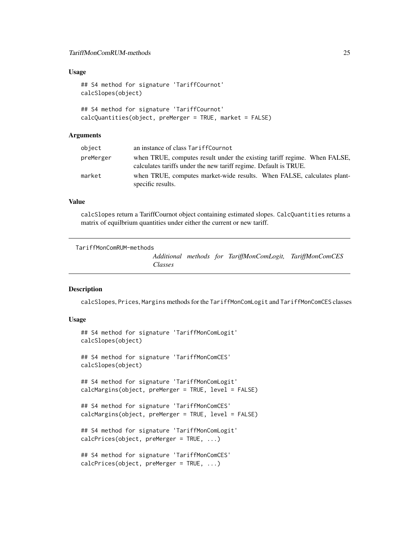#### <span id="page-24-0"></span>Usage

```
## S4 method for signature 'TariffCournot'
calcSlopes(object)
## S4 method for signature 'TariffCournot'
calcQuantities(object, preMerger = TRUE, market = FALSE)
```
#### Arguments

| object    | an instance of class TariffCournot                                                                                                           |
|-----------|----------------------------------------------------------------------------------------------------------------------------------------------|
| preMerger | when TRUE, computes result under the existing tariff regime. When FALSE,<br>calculates tariffs under the new tariff regime. Default is TRUE. |
| market    | when TRUE, computes market-wide results. When FALSE, calculates plant-<br>specific results.                                                  |

#### Value

calcSlopes return a TariffCournot object containing estimated slopes. CalcQuantities returns a matrix of equilbrium quantities under either the current or new tariff.

```
TariffMonComRUM-methods
```
*Additional methods for TariffMonComLogit, TariffMonComCES Classes*

#### Description

calcSlopes, Prices, Margins methods for the TariffMonComLogit and TariffMonComCES classes

#### Usage

```
## S4 method for signature 'TariffMonComLogit'
calcSlopes(object)
## S4 method for signature 'TariffMonComCES'
calcSlopes(object)
## S4 method for signature 'TariffMonComLogit'
calcMargins(object, preMerger = TRUE, level = FALSE)
## S4 method for signature 'TariffMonComCES'
calcMargins(object, preMerger = TRUE, level = FALSE)
## S4 method for signature 'TariffMonComLogit'
calcPrices(object, preMerger = TRUE, ...)
## S4 method for signature 'TariffMonComCES'
calcPrices(object, preMerger = TRUE, ...)
```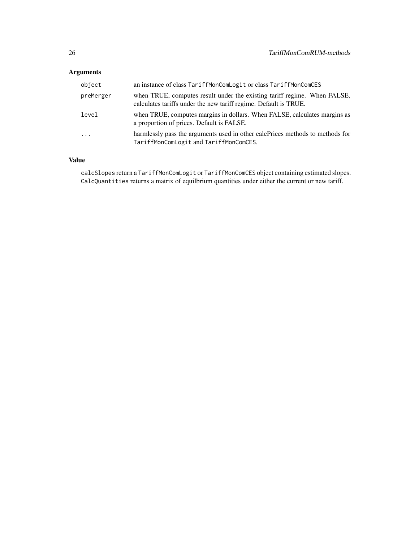# Arguments

| object    | an instance of class TariffMonComLogit or class TariffMonComCES                                                                              |
|-----------|----------------------------------------------------------------------------------------------------------------------------------------------|
| preMerger | when TRUE, computes result under the existing tariff regime. When FALSE,<br>calculates tariffs under the new tariff regime. Default is TRUE. |
| level     | when TRUE, computes margins in dollars. When FALSE, calculates margins as<br>a proportion of prices. Default is FALSE.                       |
| $\cdots$  | harmlessly pass the arguments used in other calcPrices methods to methods for<br>TariffMonComLogit and TariffMonComCES.                      |

# Value

calcSlopes return a TariffMonComLogit or TariffMonComCES object containing estimated slopes. CalcQuantities returns a matrix of equilbrium quantities under either the current or new tariff.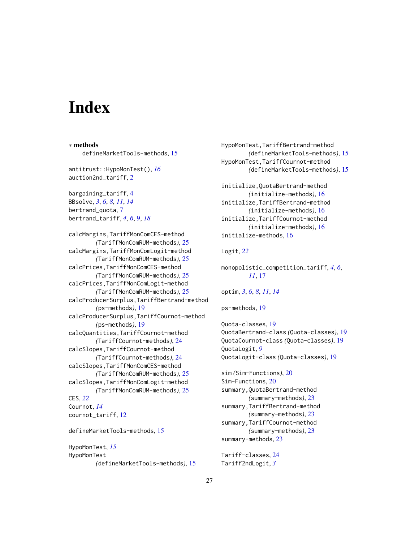# <span id="page-26-0"></span>**Index**

∗ methods defineMarketTools-methods, [15](#page-14-0) antitrust::HypoMonTest(), *[16](#page-15-0)* auction2nd\_tariff, [2](#page-1-0) bargaining\_tariff, [4](#page-3-0) BBsolve, *[3](#page-2-0)*, *[6](#page-5-0)*, *[8](#page-7-0)*, *[11](#page-10-0)*, *[14](#page-13-0)* bertrand\_quota, [7](#page-6-0) bertrand\_tariff, *[4](#page-3-0)*, *[6](#page-5-0)*, [9,](#page-8-0) *[18](#page-17-0)* calcMargins,TariffMonComCES-method *(*TariffMonComRUM-methods*)*, [25](#page-24-0) calcMargins,TariffMonComLogit-method *(*TariffMonComRUM-methods*)*, [25](#page-24-0) calcPrices,TariffMonComCES-method *(*TariffMonComRUM-methods*)*, [25](#page-24-0) calcPrices,TariffMonComLogit-method *(*TariffMonComRUM-methods*)*, [25](#page-24-0) calcProducerSurplus,TariffBertrand-method *(*ps-methods*)*, [19](#page-18-0) calcProducerSurplus,TariffCournot-method *(*ps-methods*)*, [19](#page-18-0) calcQuantities,TariffCournot-method *(*TariffCournot-methods*)*, [24](#page-23-0) calcSlopes,TariffCournot-method *(*TariffCournot-methods*)*, [24](#page-23-0) calcSlopes,TariffMonComCES-method *(*TariffMonComRUM-methods*)*, [25](#page-24-0) calcSlopes,TariffMonComLogit-method *(*TariffMonComRUM-methods*)*, [25](#page-24-0) CES, *[22](#page-21-0)* Cournot, *[14](#page-13-0)* cournot\_tariff, [12](#page-11-0) defineMarketTools-methods, [15](#page-14-0) HypoMonTest, *[15](#page-14-0)*

HypoMonTest *(*defineMarketTools-methods*)*, [15](#page-14-0) HypoMonTest,TariffBertrand-method *(*defineMarketTools-methods*)*, [15](#page-14-0) HypoMonTest,TariffCournot-method *(*defineMarketTools-methods*)*, [15](#page-14-0) initialize,QuotaBertrand-method *(*initialize-methods*)*, [16](#page-15-0) initialize,TariffBertrand-method *(*initialize-methods*)*, [16](#page-15-0) initialize,TariffCournot-method *(*initialize-methods*)*, [16](#page-15-0) initialize-methods, [16](#page-15-0) Logit, *[22](#page-21-0)* monopolistic\_competition\_tariff, *[4](#page-3-0)*, *[6](#page-5-0)*, *[11](#page-10-0)*, [17](#page-16-0) optim, *[3](#page-2-0)*, *[6](#page-5-0)*, *[8](#page-7-0)*, *[11](#page-10-0)*, *[14](#page-13-0)* ps-methods, [19](#page-18-0) Quota-classes, [19](#page-18-0) QuotaBertrand-class *(*Quota-classes*)*, [19](#page-18-0) QuotaCournot-class *(*Quota-classes*)*, [19](#page-18-0) QuotaLogit, *[9](#page-8-0)* QuotaLogit-class *(*Quota-classes*)*, [19](#page-18-0) sim *(*Sim-Functions*)*, [20](#page-19-0) Sim-Functions, [20](#page-19-0) summary,QuotaBertrand-method *(*summary-methods*)*, [23](#page-22-0) summary,TariffBertrand-method *(*summary-methods*)*, [23](#page-22-0) summary,TariffCournot-method *(*summary-methods*)*, [23](#page-22-0) summary-methods, [23](#page-22-0) Tariff-classes, [24](#page-23-0)

Tariff2ndLogit, *[3](#page-2-0)*